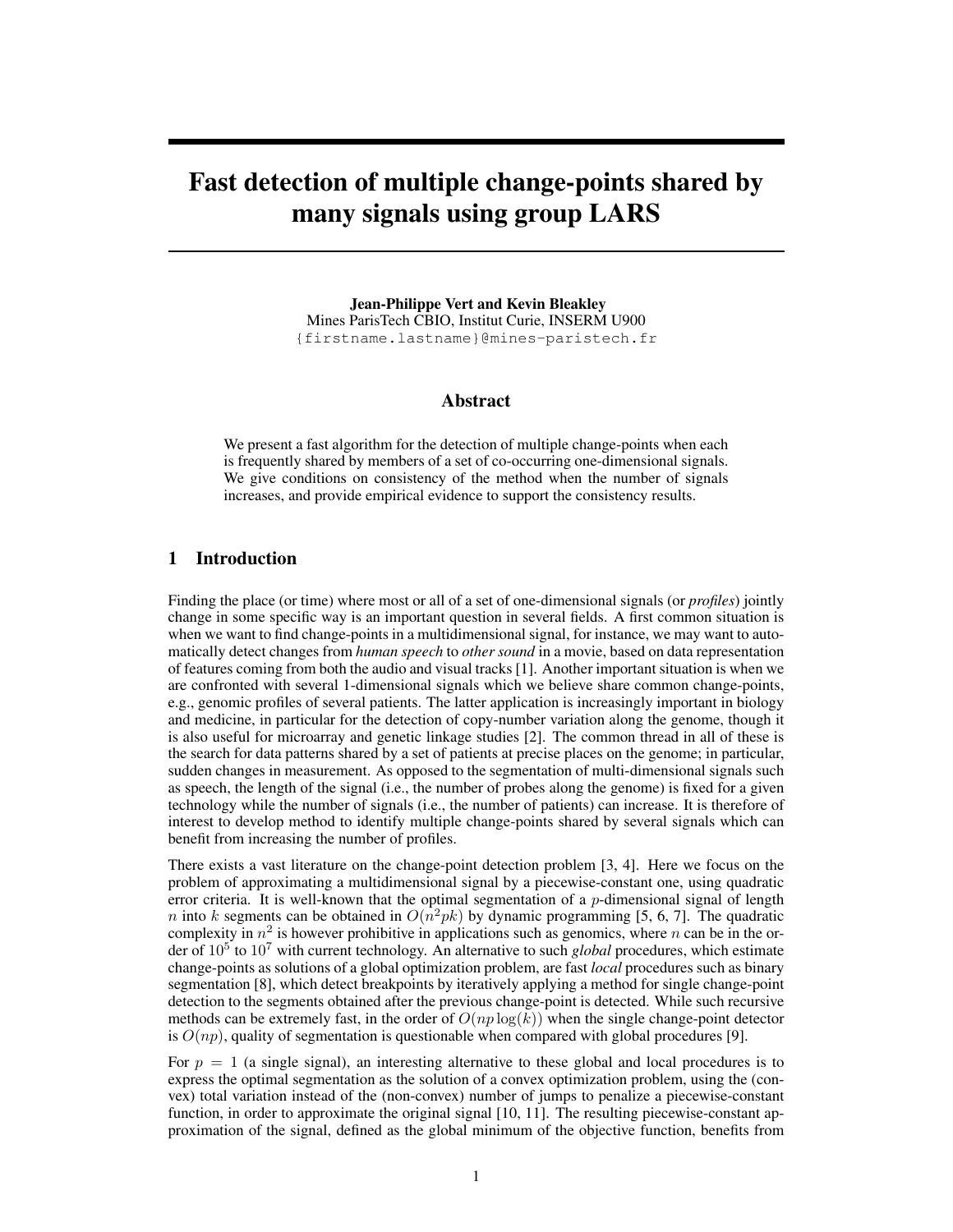# Fast detection of multiple change-points shared by many signals using group LARS

Jean-Philippe Vert and Kevin Bleakley Mines ParisTech CBIO, Institut Curie, INSERM U900 {firstname.lastname}@mines-paristech.fr

# Abstract

We present a fast algorithm for the detection of multiple change-points when each is frequently shared by members of a set of co-occurring one-dimensional signals. We give conditions on consistency of the method when the number of signals increases, and provide empirical evidence to support the consistency results.

#### 1 Introduction

Finding the place (or time) where most or all of a set of one-dimensional signals (or *profiles*) jointly change in some specific way is an important question in several fields. A first common situation is when we want to find change-points in a multidimensional signal, for instance, we may want to automatically detect changes from *human speech* to *other sound* in a movie, based on data representation of features coming from both the audio and visual tracks [1]. Another important situation is when we are confronted with several 1-dimensional signals which we believe share common change-points, e.g., genomic profiles of several patients. The latter application is increasingly important in biology and medicine, in particular for the detection of copy-number variation along the genome, though it is also useful for microarray and genetic linkage studies [2]. The common thread in all of these is the search for data patterns shared by a set of patients at precise places on the genome; in particular, sudden changes in measurement. As opposed to the segmentation of multi-dimensional signals such as speech, the length of the signal (i.e., the number of probes along the genome) is fixed for a given technology while the number of signals (i.e., the number of patients) can increase. It is therefore of interest to develop method to identify multiple change-points shared by several signals which can benefit from increasing the number of profiles.

There exists a vast literature on the change-point detection problem [3, 4]. Here we focus on the problem of approximating a multidimensional signal by a piecewise-constant one, using quadratic error criteria. It is well-known that the optimal segmentation of a p-dimensional signal of length *n* into k segments can be obtained in  $O(n^2pk)$  by dynamic programming [5, 6, 7]. The quadratic complexity in  $n^2$  is however prohibitive in applications such as genomics, where n can be in the order of 10<sup>5</sup> to 10<sup>7</sup> with current technology. An alternative to such *global* procedures, which estimate change-points as solutions of a global optimization problem, are fast *local* procedures such as binary segmentation [8], which detect breakpoints by iteratively applying a method for single change-point detection to the segments obtained after the previous change-point is detected. While such recursive methods can be extremely fast, in the order of  $O(np \log(k))$  when the single change-point detector is  $O(np)$ , quality of segmentation is questionable when compared with global procedures [9].

For  $p = 1$  (a single signal), an interesting alternative to these global and local procedures is to express the optimal segmentation as the solution of a convex optimization problem, using the (convex) total variation instead of the (non-convex) number of jumps to penalize a piecewise-constant function, in order to approximate the original signal [10, 11]. The resulting piecewise-constant approximation of the signal, defined as the global minimum of the objective function, benefits from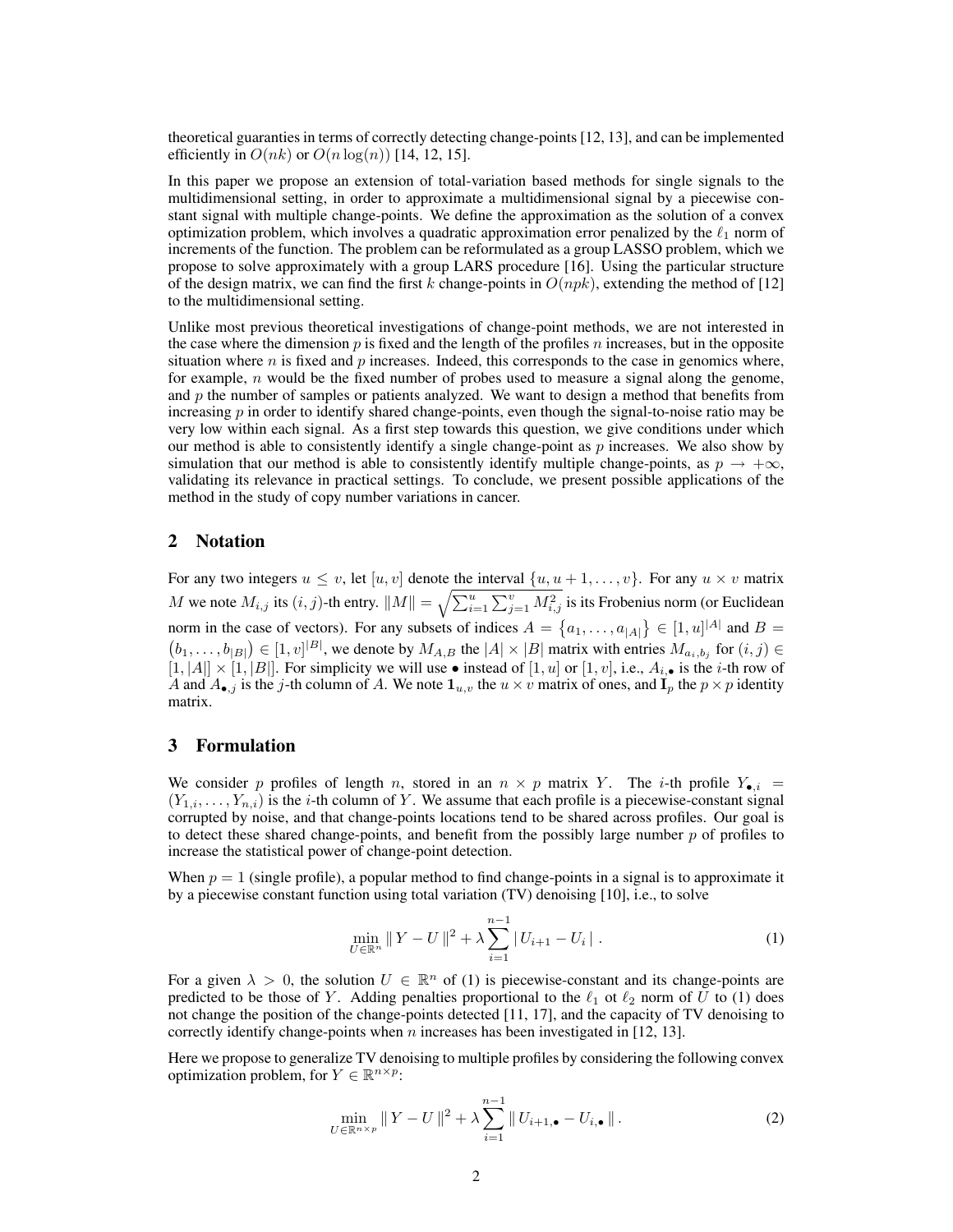theoretical guaranties in terms of correctly detecting change-points [12, 13], and can be implemented efficiently in  $O(nk)$  or  $O(n \log(n))$  [14, 12, 15].

In this paper we propose an extension of total-variation based methods for single signals to the multidimensional setting, in order to approximate a multidimensional signal by a piecewise constant signal with multiple change-points. We define the approximation as the solution of a convex optimization problem, which involves a quadratic approximation error penalized by the  $\ell_1$  norm of increments of the function. The problem can be reformulated as a group LASSO problem, which we propose to solve approximately with a group LARS procedure [16]. Using the particular structure of the design matrix, we can find the first k change-points in  $O(npk)$ , extending the method of [12] to the multidimensional setting.

Unlike most previous theoretical investigations of change-point methods, we are not interested in the case where the dimension  $p$  is fixed and the length of the profiles n increases, but in the opposite situation where  $n$  is fixed and  $p$  increases. Indeed, this corresponds to the case in genomics where, for example,  $n$  would be the fixed number of probes used to measure a signal along the genome, and  $p$  the number of samples or patients analyzed. We want to design a method that benefits from increasing  $p$  in order to identify shared change-points, even though the signal-to-noise ratio may be very low within each signal. As a first step towards this question, we give conditions under which our method is able to consistently identify a single change-point as  $p$  increases. We also show by simulation that our method is able to consistently identify multiple change-points, as  $p \to +\infty$ , validating its relevance in practical settings. To conclude, we present possible applications of the method in the study of copy number variations in cancer.

## 2 Notation

For any two integers  $u \le v$ , let  $[u, v]$  denote the interval  $\{u, u + 1, \ldots, v\}$ . For any  $u \times v$  matrix  $M$  we note  $M_{i,j}$  its  $(i,j)$ -th entry.  $\|M\| = \sqrt{\sum_{i=1}^u \sum_{j=1}^v M_{i,j}^2}$  is its Frobenius norm (or Euclidean norm in the case of vectors). For any subsets of indices  $A = \{a_1, \ldots, a_{|A|}\} \in [1, u]^{|A|}$  and  $B =$  $(b_1,\ldots,b_{|B|}) \in [1,v]^{|B|}$ , we denote by  $M_{A,B}$  the  $|A| \times |B|$  matrix with entries  $M_{a_i,b_j}$  for  $(i,j) \in$  $[1, |A|] \times [1, |B|]$ . For simplicity we will use • instead of  $[1, u]$  or  $[1, v]$ , i.e.,  $A_{i, \bullet}$  is the *i*-th row of A and  $A_{\bullet,j}$  is the j-th column of A. We note  $1_{u,v}$  the  $u \times v$  matrix of ones, and  $I_p$  the  $p \times p$  identity matrix.

## 3 Formulation

We consider p profiles of length n, stored in an  $n \times p$  matrix Y. The i-th profile  $Y_{\bullet,i}$  =  $(Y_{1,i},\ldots,Y_{n,i})$  is the *i*-th column of Y. We assume that each profile is a piecewise-constant signal corrupted by noise, and that change-points locations tend to be shared across profiles. Our goal is to detect these shared change-points, and benefit from the possibly large number  $p$  of profiles to increase the statistical power of change-point detection.

When  $p = 1$  (single profile), a popular method to find change-points in a signal is to approximate it by a piecewise constant function using total variation (TV) denoising [10], i.e., to solve

$$
\min_{U \in \mathbb{R}^n} \|Y - U\|^2 + \lambda \sum_{i=1}^{n-1} |U_{i+1} - U_i| \tag{1}
$$

For a given  $\lambda > 0$ , the solution  $U \in \mathbb{R}^n$  of (1) is piecewise-constant and its change-points are predicted to be those of Y. Adding penalties proportional to the  $\ell_1$  ot  $\ell_2$  norm of U to (1) does not change the position of the change-points detected [11, 17], and the capacity of TV denoising to correctly identify change-points when  $n$  increases has been investigated in [12, 13].

Here we propose to generalize TV denoising to multiple profiles by considering the following convex optimization problem, for  $Y \in \mathbb{R}^{n \times p}$ :

$$
\min_{U \in \mathbb{R}^{n \times p}} \|Y - U\|^2 + \lambda \sum_{i=1}^{n-1} \|U_{i+1,\bullet} - U_{i,\bullet}\|.
$$
 (2)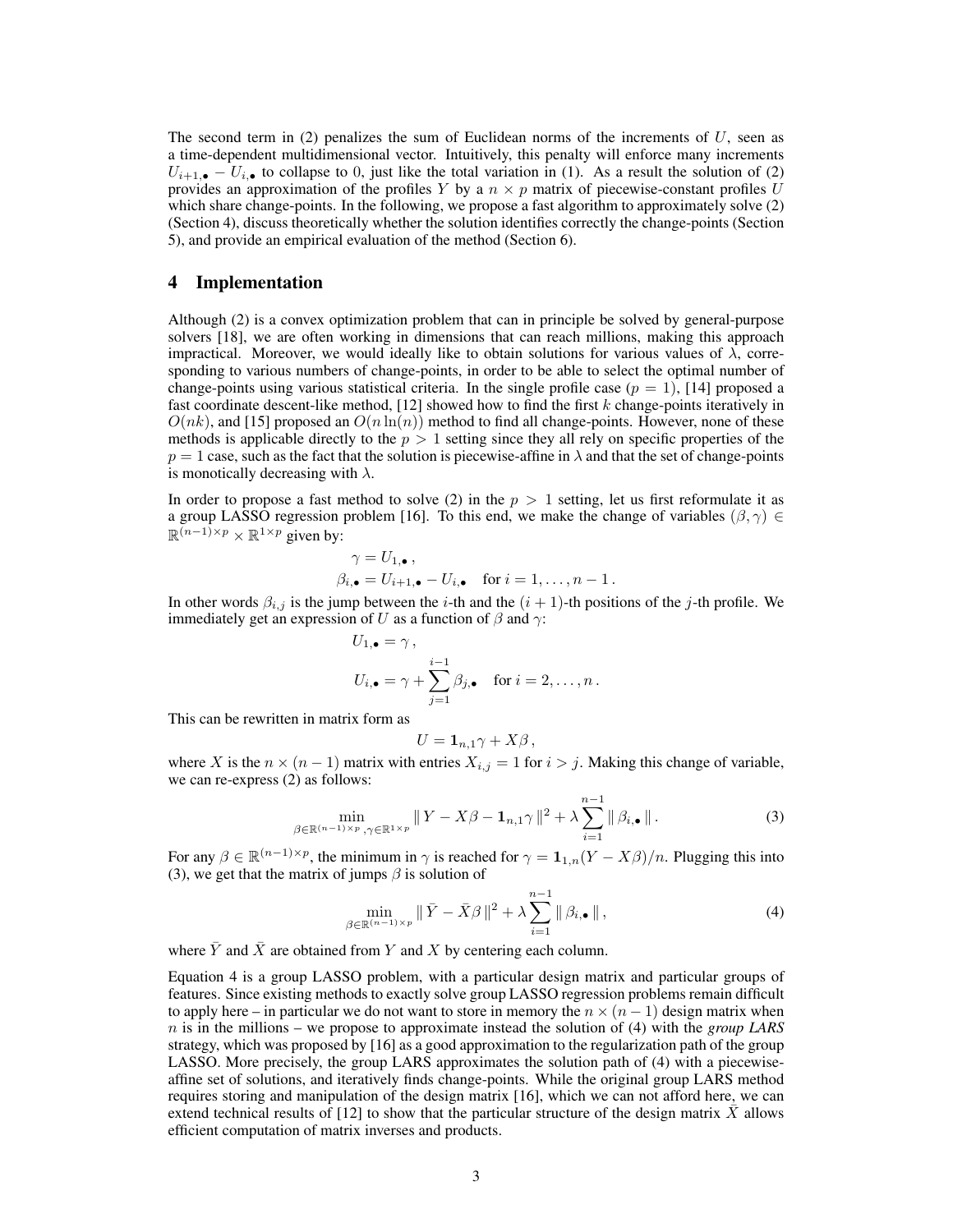The second term in  $(2)$  penalizes the sum of Euclidean norms of the increments of U, seen as a time-dependent multidimensional vector. Intuitively, this penalty will enforce many increments  $U_{i+1,\bullet} - U_{i,\bullet}$  to collapse to 0, just like the total variation in (1). As a result the solution of (2) provides an approximation of the profiles Y by a  $n \times p$  matrix of piecewise-constant profiles U which share change-points. In the following, we propose a fast algorithm to approximately solve (2) (Section 4), discuss theoretically whether the solution identifies correctly the change-points (Section 5), and provide an empirical evaluation of the method (Section 6).

## 4 Implementation

Although (2) is a convex optimization problem that can in principle be solved by general-purpose solvers [18], we are often working in dimensions that can reach millions, making this approach impractical. Moreover, we would ideally like to obtain solutions for various values of  $\lambda$ , corresponding to various numbers of change-points, in order to be able to select the optimal number of change-points using various statistical criteria. In the single profile case  $(p = 1)$ , [14] proposed a fast coordinate descent-like method,  $[12]$  showed how to find the first k change-points iteratively in  $O(nk)$ , and [15] proposed an  $O(n \ln(n))$  method to find all change-points. However, none of these methods is applicable directly to the  $p > 1$  setting since they all rely on specific properties of the  $p = 1$  case, such as the fact that the solution is piecewise-affine in  $\lambda$  and that the set of change-points is monotically decreasing with  $\lambda$ .

In order to propose a fast method to solve (2) in the  $p > 1$  setting, let us first reformulate it as a group LASSO regression problem [16]. To this end, we make the change of variables  $(\beta, \gamma) \in$  $\mathbb{R}^{(n-1)\times p} \times \mathbb{R}^{1\times p}$  given by:

$$
\gamma = U_{1,\bullet},
$$
  
\n
$$
\beta_{i,\bullet} = U_{i+1,\bullet} - U_{i,\bullet} \quad \text{for } i = 1,\ldots,n-1.
$$

In other words  $\beta_{i,j}$  is the jump between the *i*-th and the  $(i + 1)$ -th positions of the *j*-th profile. We immediately get an expression of U as a function of  $\beta$  and  $\gamma$ :

$$
U_{1,\bullet} = \gamma,
$$
  
\n
$$
U_{i,\bullet} = \gamma + \sum_{j=1}^{i-1} \beta_{j,\bullet} \quad \text{for } i = 2,\ldots, n.
$$

This can be rewritten in matrix form as

$$
U=\mathbf{1}_{n,1}\gamma+X\beta\,,
$$

where X is the  $n \times (n-1)$  matrix with entries  $X_{i,j} = 1$  for  $i > j$ . Making this change of variable, we can re-express (2) as follows:

$$
\min_{\beta \in \mathbb{R}^{(n-1)\times p}, \gamma \in \mathbb{R}^{1\times p}} \|Y - X\beta - \mathbf{1}_{n,1}\gamma\|^2 + \lambda \sum_{i=1}^{n-1} \|\beta_{i,\bullet}\|.
$$
 (3)

For any  $\beta \in \mathbb{R}^{(n-1)\times p}$ , the minimum in  $\gamma$  is reached for  $\gamma = \mathbf{1}_{1,n}(Y - X\beta)/n$ . Plugging this into (3), we get that the matrix of jumps  $\beta$  is solution of

$$
\min_{\beta \in \mathbb{R}^{(n-1)\times p}} \|\bar{Y} - \bar{X}\beta\|^2 + \lambda \sum_{i=1}^{n-1} \|\beta_{i,\bullet}\|,\tag{4}
$$

where  $\bar{Y}$  and  $\bar{X}$  are obtained from Y and X by centering each column.

Equation 4 is a group LASSO problem, with a particular design matrix and particular groups of features. Since existing methods to exactly solve group LASSO regression problems remain difficult to apply here – in particular we do not want to store in memory the  $n \times (n-1)$  design matrix when n is in the millions – we propose to approximate instead the solution of (4) with the *group LARS* strategy, which was proposed by [16] as a good approximation to the regularization path of the group LASSO. More precisely, the group LARS approximates the solution path of (4) with a piecewiseaffine set of solutions, and iteratively finds change-points. While the original group LARS method requires storing and manipulation of the design matrix [16], which we can not afford here, we can extend technical results of  $[12]$  to show that the particular structure of the design matrix X allows efficient computation of matrix inverses and products.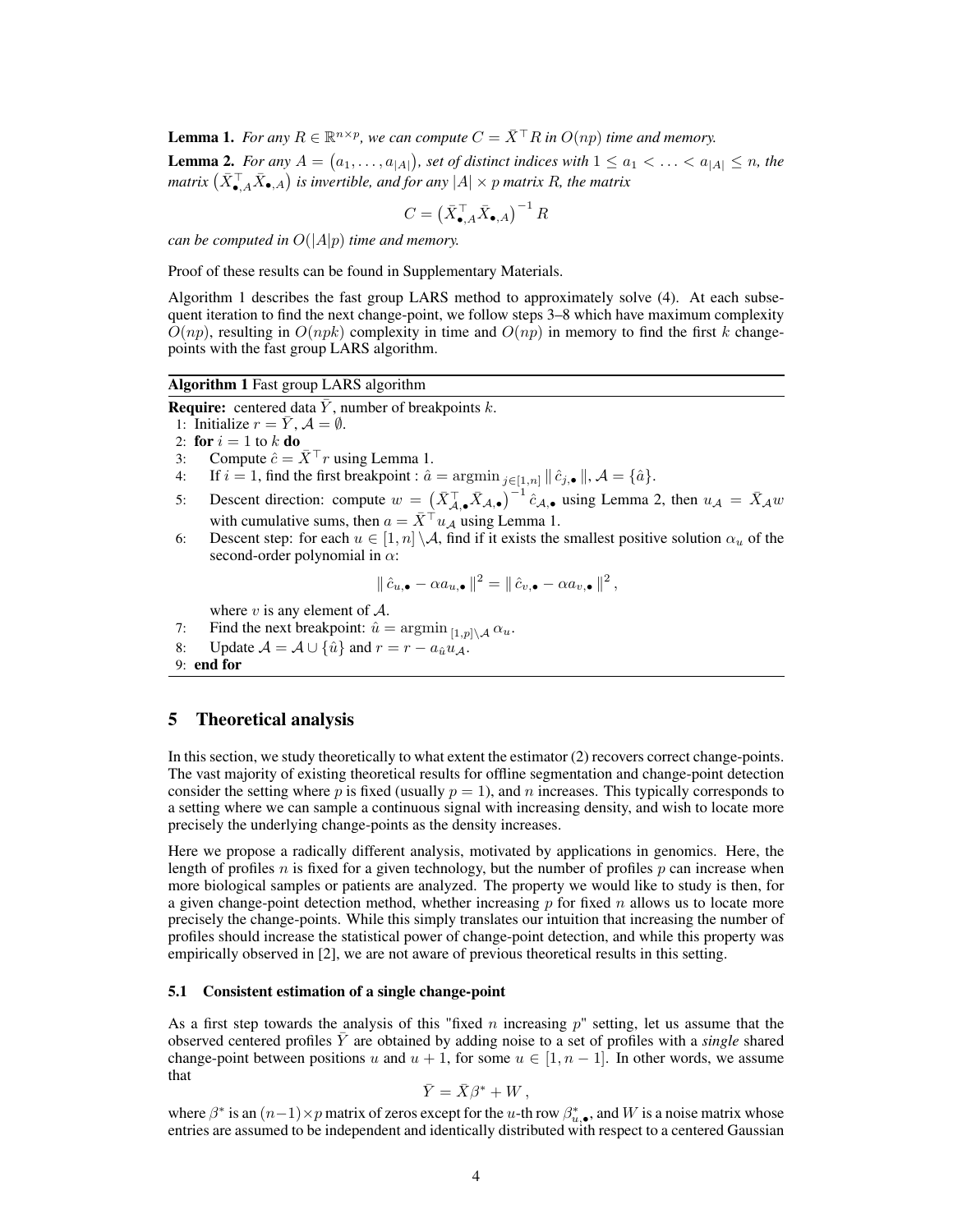**Lemma 1.** For any  $R \in \mathbb{R}^{n \times p}$ , we can compute  $C = \overline{X}^{\top}R$  in  $O(np)$  time and memory. **Lemma 2.** For any  $A = (a_1, \ldots, a_{|A|})$ , set of distinct indices with  $1 \le a_1 < \ldots < a_{|A|} \le n$ , the matrix  $(\bar{X}_{\bullet, A}^\top \bar{X}_{\bullet, A})$  is invertible, and for any  $|A| \times p$  matrix R, the matrix

$$
C = \left( \bar{X}_{\bullet, A}^{\top} \bar{X}_{\bullet, A} \right)^{-1} R
$$

*can be computed in* O(|A|p) *time and memory.*

Proof of these results can be found in Supplementary Materials.

Algorithm 1 describes the fast group LARS method to approximately solve (4). At each subsequent iteration to find the next change-point, we follow steps 3–8 which have maximum complexity  $O(np)$ , resulting in  $O(npk)$  complexity in time and  $O(np)$  in memory to find the first k changepoints with the fast group LARS algorithm.

#### Algorithm 1 Fast group LARS algorithm

**Require:** centered data Y, number of breakpoints  $k$ .

- 1: Initialize  $r = \overline{Y}$ ,  $\mathcal{A} = \emptyset$ .
- 2: for  $i = 1$  to  $k$  do
- 3: Compute  $\hat{c} = \bar{X}^{\top} r$  using Lemma 1.
- 4: If  $i = 1$ , find the first breakpoint :  $\hat{a} = \operatorname{argmin}_{j \in [1,n]} || \hat{c}_{j,\bullet} ||$ ,  $\mathcal{A} = {\hat{a}}$ .
- 5: Descent direction: compute  $w = (\bar{X}_{\mathcal{A},\bullet}^{\top} \bar{X}_{\mathcal{A},\bullet})^{-1} \hat{c}_{\mathcal{A},\bullet}$  using Lemma 2, then  $u_{\mathcal{A}} = \bar{X}_{\mathcal{A}} w$ with cumulative sums, then  $a = \overline{X}^\top u_A$  using Lemma 1.
- 6: Descent step: for each  $u \in [1, n] \setminus \mathcal{A}$ , find if it exists the smallest positive solution  $\alpha_u$  of the second-order polynomial in  $\alpha$ :

$$
\|\hat{c}_{u,\bullet} - \alpha a_{u,\bullet}\|^2 = \|\hat{c}_{v,\bullet} - \alpha a_{v,\bullet}\|^2,
$$

where  $v$  is any element of  $\mathcal{A}$ .

- 7: Find the next breakpoint:  $\hat{u} = \operatorname{argmin}_{[1,p] \setminus \mathcal{A}} \alpha_u$ .
- 8: Update  $\mathcal{A} = \mathcal{A} \cup \{\hat{u}\}\$ and  $r = r a_{\hat{u}} u_{\mathcal{A}}$ .
- 9: end for

## 5 Theoretical analysis

In this section, we study theoretically to what extent the estimator (2) recovers correct change-points. The vast majority of existing theoretical results for offline segmentation and change-point detection consider the setting where p is fixed (usually  $p = 1$ ), and n increases. This typically corresponds to a setting where we can sample a continuous signal with increasing density, and wish to locate more precisely the underlying change-points as the density increases.

Here we propose a radically different analysis, motivated by applications in genomics. Here, the length of profiles n is fixed for a given technology, but the number of profiles  $p$  can increase when more biological samples or patients are analyzed. The property we would like to study is then, for a given change-point detection method, whether increasing  $p$  for fixed  $n$  allows us to locate more precisely the change-points. While this simply translates our intuition that increasing the number of profiles should increase the statistical power of change-point detection, and while this property was empirically observed in [2], we are not aware of previous theoretical results in this setting.

#### 5.1 Consistent estimation of a single change-point

As a first step towards the analysis of this "fixed n increasing  $p$ " setting, let us assume that the observed centered profiles Y¯ are obtained by adding noise to a set of profiles with a *single* shared change-point between positions u and  $u + 1$ , for some  $u \in [1, n - 1]$ . In other words, we assume that

$$
\bar{Y} = \bar{X}\beta^* + W,
$$

where  $\beta^*$  is an  $(n-1) \times p$  matrix of zeros except for the u-th row  $\beta^*_{u,\bullet}$ , and W is a noise matrix whose entries are assumed to be independent and identically distributed with respect to a centered Gaussian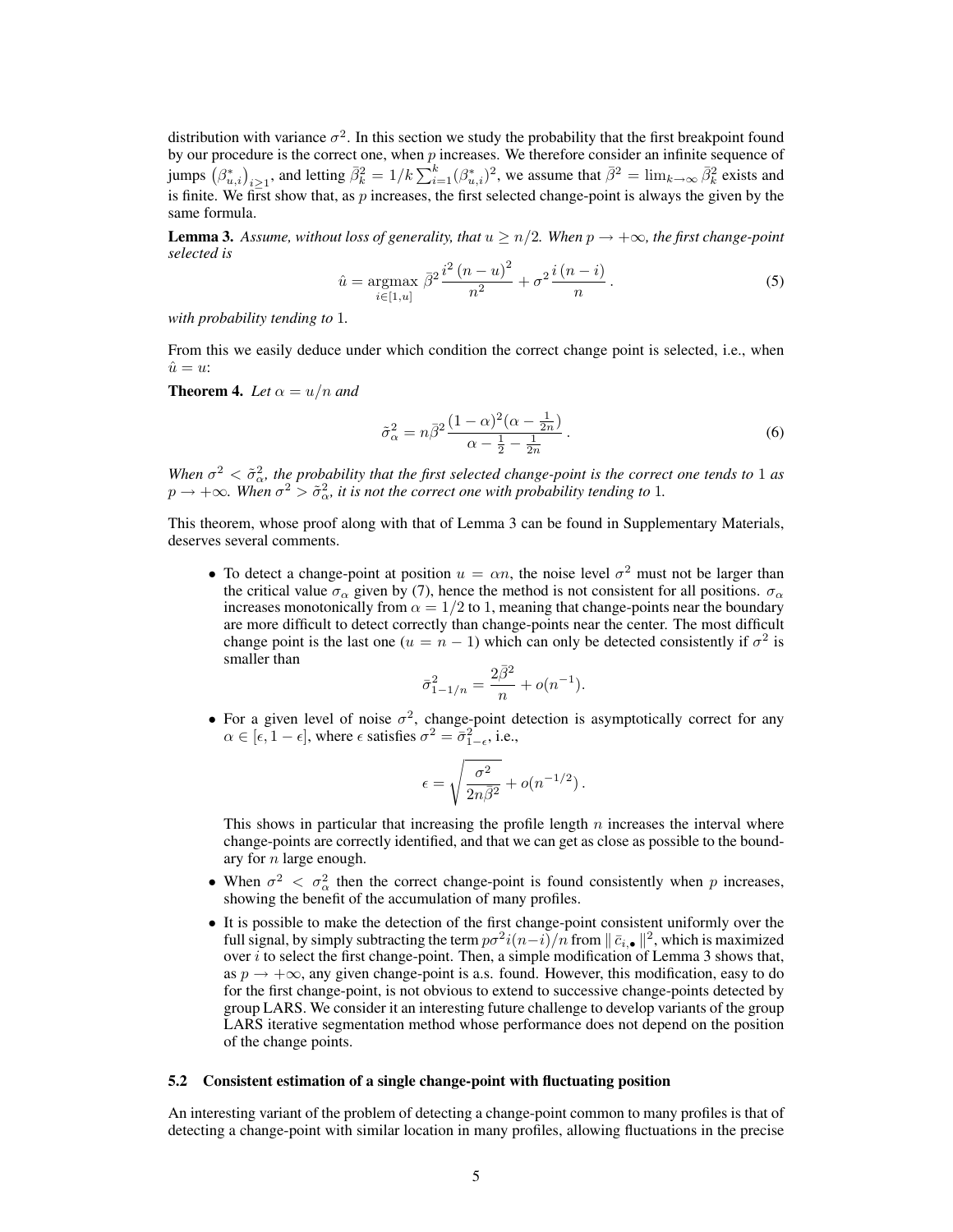distribution with variance  $\sigma^2$ . In this section we study the probability that the first breakpoint found by our procedure is the correct one, when  $p$  increases. We therefore consider an infinite sequence of jumps  $(\beta^*_{u,i})_{i\geq 1}$ , and letting  $\bar{\beta}_k^2 = 1/k \sum_{i=1}^k (\beta^*_{u,i})^2$ , we assume that  $\bar{\beta}^2 = \lim_{k\to\infty} \bar{\beta}_k^2$  exists and is finite. We first show that, as  $p$  increases, the first selected change-point is always the given by the same formula.

**Lemma 3.** Assume, without loss of generality, that  $u \geq n/2$ . When  $p \to +\infty$ , the first change-point *selected is*

$$
\hat{u} = \underset{i \in [1, u]}{\text{argmax}} \, \bar{\beta}^2 \frac{i^2 \left( n - u \right)^2}{n^2} + \sigma^2 \frac{i \left( n - i \right)}{n} \,. \tag{5}
$$

*with probability tending to* 1*.*

From this we easily deduce under which condition the correct change point is selected, i.e., when  $\hat{u} = u^2$ 

**Theorem 4.** Let  $\alpha = u/n$  and

$$
\tilde{\sigma}_{\alpha}^2 = n\bar{\beta}^2 \frac{(1-\alpha)^2(\alpha-\frac{1}{2n})}{\alpha-\frac{1}{2}-\frac{1}{2n}}.
$$
\n
$$
(6)
$$

When  $\sigma^2 < \tilde{\sigma}_{\alpha}^2$ , the probability that the first selected change-point is the correct one tends to 1 as  $p \to +\infty$ . When  $\sigma^2 > \tilde{\sigma}_{\alpha}^2$ , it is not the correct one with probability tending to 1.

This theorem, whose proof along with that of Lemma 3 can be found in Supplementary Materials, deserves several comments.

• To detect a change-point at position  $u = \alpha n$ , the noise level  $\sigma^2$  must not be larger than the critical value  $\sigma_{\alpha}$  given by (7), hence the method is not consistent for all positions.  $\sigma_{\alpha}$ increases monotonically from  $\alpha = 1/2$  to 1, meaning that change-points near the boundary are more difficult to detect correctly than change-points near the center. The most difficult change point is the last one  $(u = n - 1)$  which can only be detected consistently if  $\sigma^2$  is smaller than

$$
\bar{\sigma}_{1-1/n}^2 = \frac{2\bar{\beta}^2}{n} + o(n^{-1}).
$$

• For a given level of noise  $\sigma^2$ , change-point detection is asymptotically correct for any  $\alpha \in [\epsilon, 1 - \epsilon]$ , where  $\epsilon$  satisfies  $\sigma^2 = \overline{\sigma}_{1-\epsilon}^2$ , i.e.,

$$
\epsilon = \sqrt{\frac{\sigma^2}{2n\bar{\beta}^2}} + o(n^{-1/2}).
$$

This shows in particular that increasing the profile length  $n$  increases the interval where change-points are correctly identified, and that we can get as close as possible to the boundary for n large enough.

- When  $\sigma^2 < \sigma_{\alpha}^2$  then the correct change-point is found consistently when p increases, showing the benefit of the accumulation of many profiles.
- It is possible to make the detection of the first change-point consistent uniformly over the full signal, by simply subtracting the term  $p\sigma^2 i(n-i)/n$  from  $\|\bar c_{i,\bullet}\|^2$ , which is maximized over  $i$  to select the first change-point. Then, a simple modification of Lemma 3 shows that, as  $p \rightarrow +\infty$ , any given change-point is a.s. found. However, this modification, easy to do for the first change-point, is not obvious to extend to successive change-points detected by group LARS. We consider it an interesting future challenge to develop variants of the group LARS iterative segmentation method whose performance does not depend on the position of the change points.

#### 5.2 Consistent estimation of a single change-point with fluctuating position

An interesting variant of the problem of detecting a change-point common to many profiles is that of detecting a change-point with similar location in many profiles, allowing fluctuations in the precise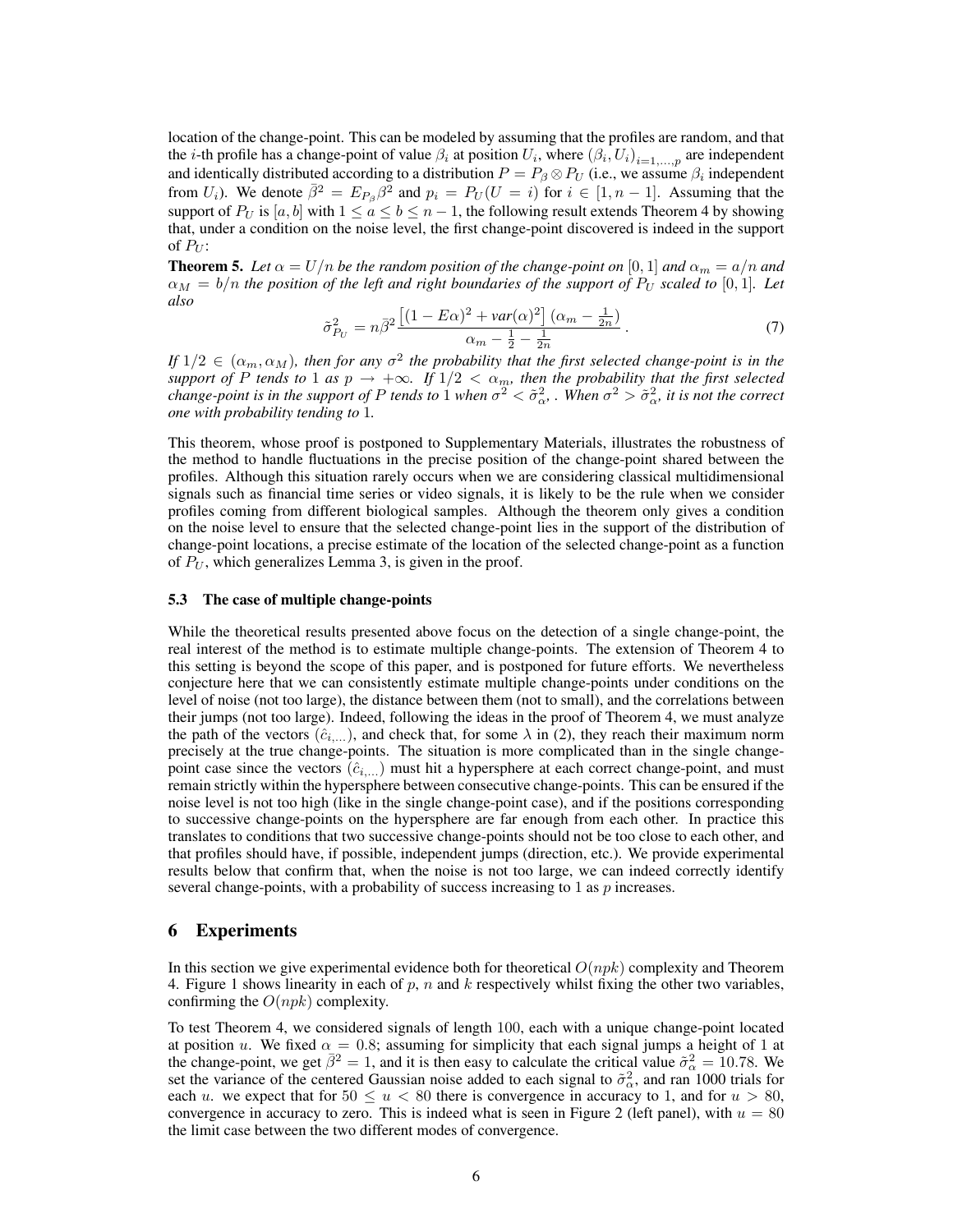location of the change-point. This can be modeled by assuming that the profiles are random, and that the *i*-th profile has a change-point of value  $\beta_i$  at position  $U_i$ , where  $(\beta_i, U_i)_{i=1,\dots,p}$  are independent and identically distributed according to a distribution  $P = P_{\beta} \otimes P_U$  (i.e., we assume  $\beta_i$  independent from  $U_i$ ). We denote  $\bar{\beta}^2 = E_{P_\beta} \beta^2$  and  $p_i = P_U (U = i)$  for  $i \in [1, n-1]$ . Assuming that the support of  $P_U$  is  $[a, b]$  with  $1 \le a \le b \le n - 1$ , the following result extends Theorem 4 by showing that, under a condition on the noise level, the first change-point discovered is indeed in the support of  $P_U$ :

**Theorem 5.** Let  $\alpha = U/n$  be the random position of the change-point on [0, 1] and  $\alpha_m = a/n$  and  $\alpha_M = b/n$  *the position of the left and right boundaries of the support of*  $P_U$  *scaled to* [0, 1]. Let *also*

$$
\tilde{\sigma}_{P_U}^2 = n\bar{\beta}^2 \frac{\left[ (1 - E\alpha)^2 + \text{var}(\alpha)^2 \right] (\alpha_m - \frac{1}{2n})}{\alpha_m - \frac{1}{2} - \frac{1}{2n}}.
$$
\n<sup>(7)</sup>

*If*  $1/2 \in (\alpha_m, \alpha_M)$ , then for any  $\sigma^2$  the probability that the first selected change-point is in the *support of* P *tends to* 1 *as*  $p \to +\infty$ *. If*  $1/2 < \alpha_m$ *, then the probability that the first selected change-point is in the support of* P *tends to* 1 *when*  $\sigma^2 < \tilde{\sigma}_{\alpha}^2$ . When  $\sigma^2 > \tilde{\sigma}_{\alpha}^2$ , it is not the correct *one with probability tending to* 1*.*

This theorem, whose proof is postponed to Supplementary Materials, illustrates the robustness of the method to handle fluctuations in the precise position of the change-point shared between the profiles. Although this situation rarely occurs when we are considering classical multidimensional signals such as financial time series or video signals, it is likely to be the rule when we consider profiles coming from different biological samples. Although the theorem only gives a condition on the noise level to ensure that the selected change-point lies in the support of the distribution of change-point locations, a precise estimate of the location of the selected change-point as a function of  $P_U$ , which generalizes Lemma 3, is given in the proof.

#### 5.3 The case of multiple change-points

While the theoretical results presented above focus on the detection of a single change-point, the real interest of the method is to estimate multiple change-points. The extension of Theorem 4 to this setting is beyond the scope of this paper, and is postponed for future efforts. We nevertheless conjecture here that we can consistently estimate multiple change-points under conditions on the level of noise (not too large), the distance between them (not to small), and the correlations between their jumps (not too large). Indeed, following the ideas in the proof of Theorem 4, we must analyze the path of the vectors  $(\hat{c}_{i,\dots})$ , and check that, for some  $\lambda$  in (2), they reach their maximum norm precisely at the true change-points. The situation is more complicated than in the single changepoint case since the vectors  $(\hat{c}_{i,\dots})$  must hit a hypersphere at each correct change-point, and must remain strictly within the hypersphere between consecutive change-points. This can be ensured if the noise level is not too high (like in the single change-point case), and if the positions corresponding to successive change-points on the hypersphere are far enough from each other. In practice this translates to conditions that two successive change-points should not be too close to each other, and that profiles should have, if possible, independent jumps (direction, etc.). We provide experimental results below that confirm that, when the noise is not too large, we can indeed correctly identify several change-points, with a probability of success increasing to  $1$  as  $p$  increases.

#### 6 Experiments

In this section we give experimental evidence both for theoretical  $O(npk)$  complexity and Theorem 4. Figure 1 shows linearity in each of  $p$ ,  $n$  and  $k$  respectively whilst fixing the other two variables, confirming the  $O(npk)$  complexity.

To test Theorem 4, we considered signals of length 100, each with a unique change-point located at position u. We fixed  $\alpha = 0.8$ ; assuming for simplicity that each signal jumps a height of 1 at the change-point, we get  $\bar{\beta}^2 = 1$ , and it is then easy to calculate the critical value  $\tilde{\sigma}_{\alpha}^2 = 10.78$ . We set the variance of the centered Gaussian noise added to each signal to  $\tilde{\sigma}_{\alpha}^2$ , and ran 1000 trials for each u. we expect that for  $50 \le u < 80$  there is convergence in accuracy to 1, and for  $u > 80$ , convergence in accuracy to zero. This is indeed what is seen in Figure 2 (left panel), with  $u = 80$ the limit case between the two different modes of convergence.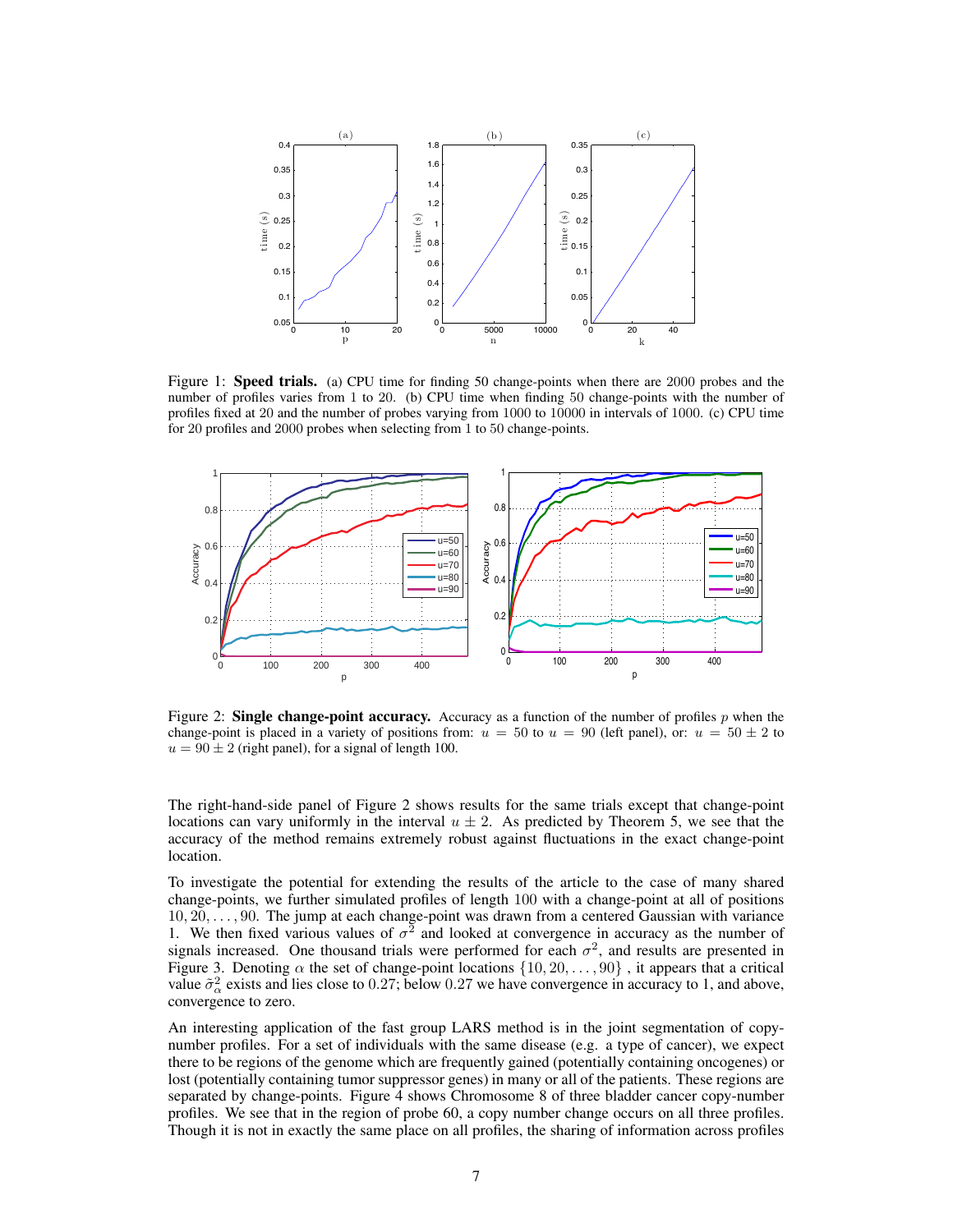

Figure 1: **Speed trials.** (a) CPU time for finding 50 change-points when there are 2000 probes and the number of profiles varies from 1 to 20. (b) CPU time when finding 50 change-points with the number of profiles fixed at 20 and the number of probes varying from 1000 to 10000 in intervals of 1000. (c) CPU time for 20 profiles and 2000 probes when selecting from 1 to 50 change-points.



Figure 2: Single change-point accuracy. Accuracy as a function of the number of profiles  $p$  when the change-point is placed in a variety of positions from:  $u = 50$  to  $u = 90$  (left panel), or:  $u = 50 \pm 2$  to  $u = 90 \pm 2$  (right panel), for a signal of length 100.

The right-hand-side panel of Figure 2 shows results for the same trials except that change-point locations can vary uniformly in the interval  $u \pm 2$ . As predicted by Theorem 5, we see that the accuracy of the method remains extremely robust against fluctuations in the exact change-point location.

To investigate the potential for extending the results of the article to the case of many shared change-points, we further simulated profiles of length 100 with a change-point at all of positions 10, 20, . . . , 90. The jump at each change-point was drawn from a centered Gaussian with variance 1. We then fixed various values of  $\sigma^2$  and looked at convergence in accuracy as the number of signals increased. One thousand trials were performed for each  $\sigma^2$ , and results are presented in Figure 3. Denoting  $\alpha$  the set of change-point locations  $\{10, 20, \ldots, 90\}$ , it appears that a critical value  $\tilde{\sigma}_{\alpha}^2$  exists and lies close to 0.27; below 0.27 we have convergence in accuracy to 1, and above, convergence to zero.

An interesting application of the fast group LARS method is in the joint segmentation of copynumber profiles. For a set of individuals with the same disease (e.g. a type of cancer), we expect there to be regions of the genome which are frequently gained (potentially containing oncogenes) or lost (potentially containing tumor suppressor genes) in many or all of the patients. These regions are separated by change-points. Figure 4 shows Chromosome 8 of three bladder cancer copy-number profiles. We see that in the region of probe 60, a copy number change occurs on all three profiles. Though it is not in exactly the same place on all profiles, the sharing of information across profiles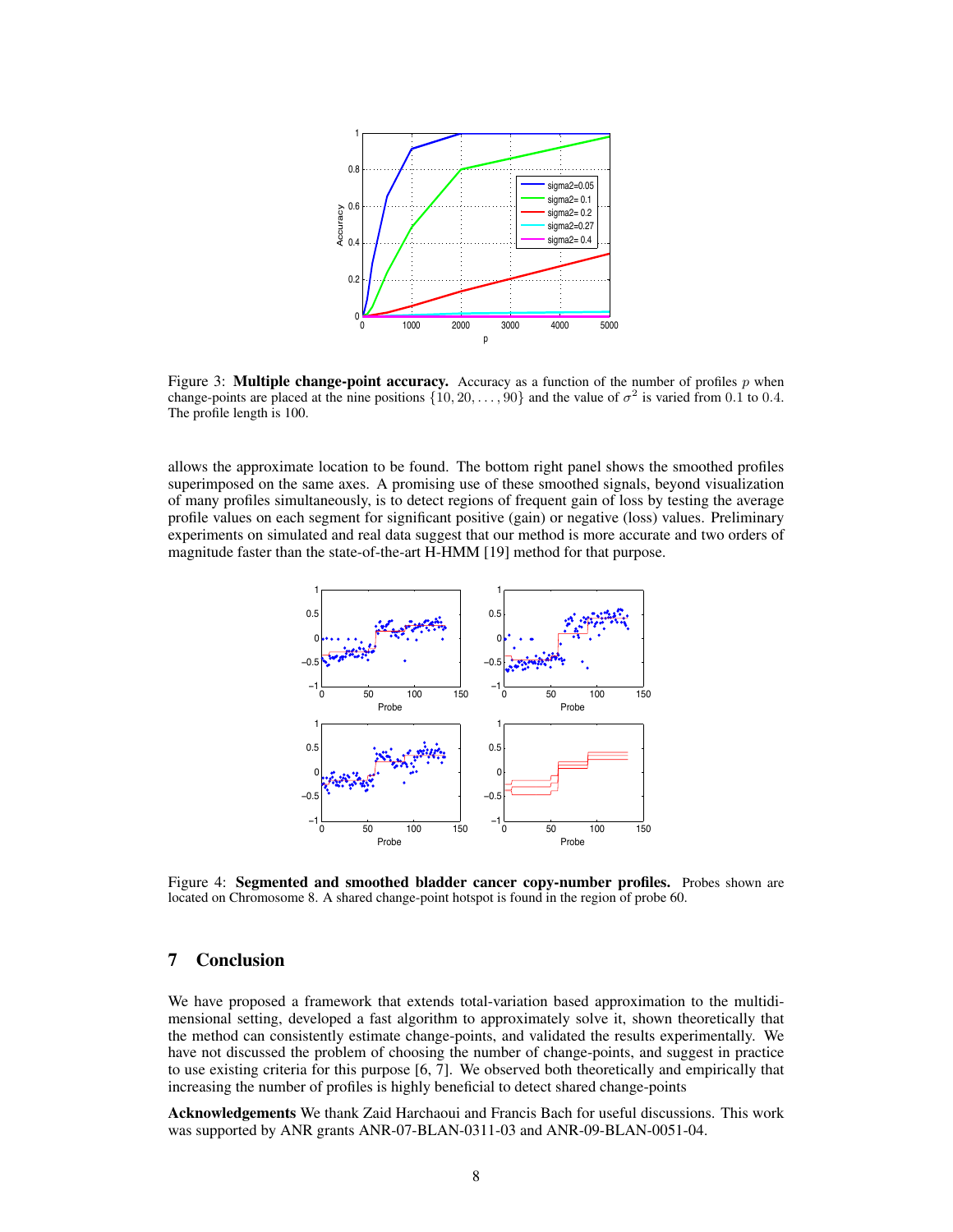

Figure 3: **Multiple change-point accuracy.** Accuracy as a function of the number of profiles p when change-points are placed at the nine positions  $\{10, 20, \ldots, 90\}$  and the value of  $\sigma^2$  is varied from 0.1 to 0.4. The profile length is 100.

allows the approximate location to be found. The bottom right panel shows the smoothed profiles superimposed on the same axes. A promising use of these smoothed signals, beyond visualization of many profiles simultaneously, is to detect regions of frequent gain of loss by testing the average profile values on each segment for significant positive (gain) or negative (loss) values. Preliminary experiments on simulated and real data suggest that our method is more accurate and two orders of magnitude faster than the state-of-the-art H-HMM [19] method for that purpose.



Figure 4: Segmented and smoothed bladder cancer copy-number profiles. Probes shown are located on Chromosome 8. A shared change-point hotspot is found in the region of probe 60.

# 7 Conclusion

We have proposed a framework that extends total-variation based approximation to the multidimensional setting, developed a fast algorithm to approximately solve it, shown theoretically that the method can consistently estimate change-points, and validated the results experimentally. We have not discussed the problem of choosing the number of change-points, and suggest in practice to use existing criteria for this purpose [6, 7]. We observed both theoretically and empirically that increasing the number of profiles is highly beneficial to detect shared change-points

Acknowledgements We thank Zaid Harchaoui and Francis Bach for useful discussions. This work was supported by ANR grants ANR-07-BLAN-0311-03 and ANR-09-BLAN-0051-04.